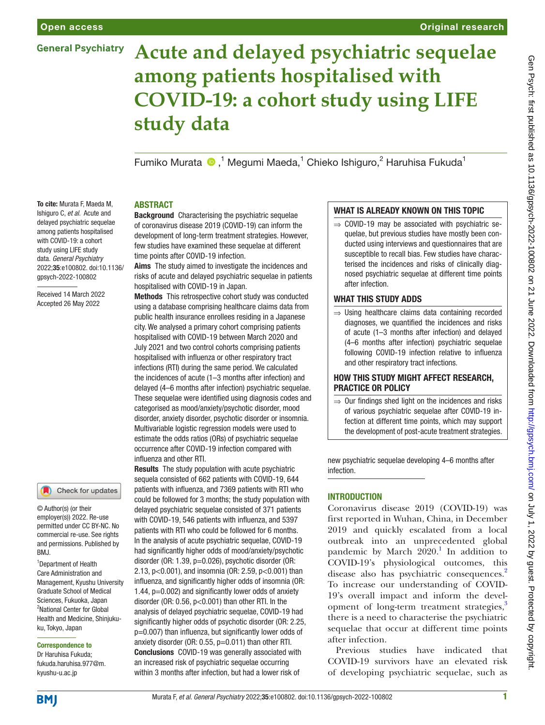# **General Psychiatry**

### Original research

# **Acute and delayed psychiatric sequelae among patients hospitalised with COVID-19: a cohort study using LIFE study data**

Fumiko Murata  $\bigcirc$ ,<sup>1</sup> Megumi Maeda,<sup>1</sup> Chieko Ishiguro,<sup>2</sup> Haruhisa Fukuda<sup>1</sup>

## ABSTRACT

To cite: Murata F, Maeda M, Ishiguro C, *et al*. Acute and delayed psychiatric sequelae among patients hospitalised with COVID-19: a cohort study using LIFE study data. *General Psychiatry* 2022;35:e100802. doi:10.1136/ gpsych-2022-100802

Received 14 March 2022 Accepted 26 May 2022



© Author(s) (or their employer(s)) 2022. Re-use permitted under CC BY-NC. No commercial re-use. See rights and permissions. Published by BMJ.

1 Department of Health Care Administration and Management, Kyushu University Graduate School of Medical Sciences, Fukuoka, Japan <sup>2</sup>National Center for Global Health and Medicine, Shinjukuku, Tokyo, Japan

#### Correspondence to

Dr Haruhisa Fukuda; fukuda.haruhisa.977@m. kyushu-u.ac.jp

Background Characterising the psychiatric sequelae of coronavirus disease 2019 (COVID-19) can inform the development of long-term treatment strategies. However, few studies have examined these sequelae at different time points after COVID-19 infection.

Aims The study aimed to investigate the incidences and risks of acute and delayed psychiatric sequelae in patients hospitalised with COVID-19 in Japan.

Methods This retrospective cohort study was conducted using a database comprising healthcare claims data from public health insurance enrollees residing in a Japanese city. We analysed a primary cohort comprising patients hospitalised with COVID-19 between March 2020 and July 2021 and two control cohorts comprising patients hospitalised with influenza or other respiratory tract infections (RTI) during the same period. We calculated the incidences of acute (1–3 months after infection) and delayed (4–6 months after infection) psychiatric sequelae. These sequelae were identified using diagnosis codes and categorised as mood/anxiety/psychotic disorder, mood disorder, anxiety disorder, psychotic disorder or insomnia. Multivariable logistic regression models were used to estimate the odds ratios (ORs) of psychiatric sequelae occurrence after COVID-19 infection compared with influenza and other RTI.

Results The study population with acute psychiatric sequela consisted of 662 patients with COVID-19, 644 patients with influenza, and 7369 patients with RTI who could be followed for 3 months; the study population with delayed psychiatric sequelae consisted of 371 patients with COVID-19, 546 patients with influenza, and 5397 patients with RTI who could be followed for 6 months. In the analysis of acute psychiatric sequelae, COVID-19 had significantly higher odds of mood/anxiety/psychotic disorder (OR: 1.39, p=0.026), psychotic disorder (OR: 2.13, p<0.001), and insomnia (OR: 2.59, p<0.001) than influenza, and significantly higher odds of insomnia (OR: 1.44, p=0.002) and significantly lower odds of anxiety disorder (OR: 0.56, p<0.001) than other RTI. In the analysis of delayed psychiatric sequelae, COVID-19 had significantly higher odds of psychotic disorder (OR: 2.25, p=0.007) than influenza, but significantly lower odds of anxiety disorder (OR: 0.55, p=0.011) than other RTI. Conclusions COVID-19 was generally associated with an increased risk of psychiatric sequelae occurring within 3 months after infection, but had a lower risk of

# WHAT IS ALREADY KNOWN ON THIS TOPIC

 $\Rightarrow$  COVID-19 may be associated with psychiatric sequelae, but previous studies have mostly been conducted using interviews and questionnaires that are susceptible to recall bias. Few studies have characterised the incidences and risks of clinically diagnosed psychiatric sequelae at different time points after infection.

# WHAT THIS STUDY ADDS

⇒ Using healthcare claims data containing recorded diagnoses, we quantified the incidences and risks of acute (1–3 months after infection) and delayed (4–6 months after infection) psychiatric sequelae following COVID-19 infection relative to influenza and other respiratory tract infections.

#### HOW THIS STUDY MIGHT AFFECT RESEARCH, PRACTICE OR POLICY

 $\Rightarrow$  Our findings shed light on the incidences and risks of various psychiatric sequelae after COVID-19 infection at different time points, which may support the development of post-acute treatment strategies.

new psychiatric sequelae developing 4–6 months after infection.

# **INTRODUCTION**

Coronavirus disease 2019 (COVID-19) was first reported in Wuhan, China, in December 2019 and quickly escalated from a local outbreak into an unprecedented global pandemic by March  $2020$ .<sup>[1](#page-8-0)</sup> In addition to COVID-19's physiological outcomes, this disease also has psychiatric consequences.<sup>[2](#page-8-1)</sup> To increase our understanding of COVID-19's overall impact and inform the devel-opment of long-term treatment strategies,<sup>[3](#page-8-2)</sup> there is a need to characterise the psychiatric sequelae that occur at different time points after infection.

Previous studies have indicated that COVID-19 survivors have an elevated risk of developing psychiatric sequelae, such as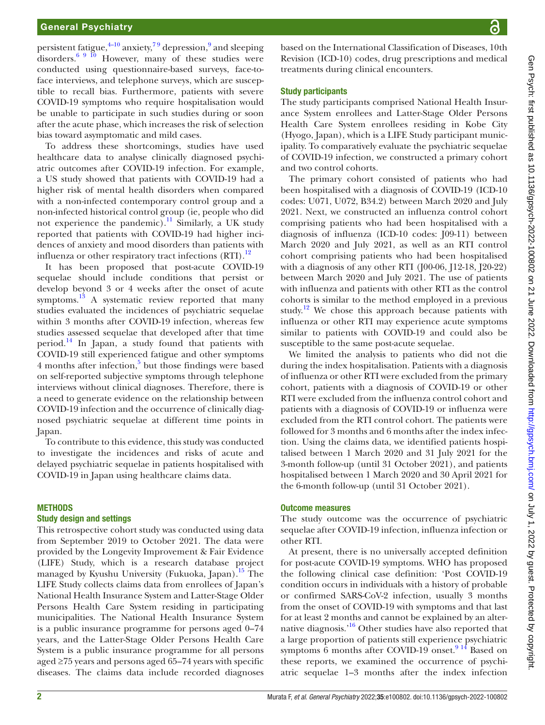# General Psychiatry

persistent fatigue,<sup>4-10</sup> anxiety,<sup>79</sup> depression,<sup>9</sup> and sleeping disorders. $\frac{6}{9}$  10 However, many of these studies were conducted using questionnaire-based surveys, face-toface interviews, and telephone surveys, which are susceptible to recall bias. Furthermore, patients with severe COVID-19 symptoms who require hospitalisation would be unable to participate in such studies during or soon after the acute phase, which increases the risk of selection bias toward asymptomatic and mild cases.

To address these shortcomings, studies have used healthcare data to analyse clinically diagnosed psychiatric outcomes after COVID-19 infection. For example, a US study showed that patients with COVID-19 had a higher risk of mental health disorders when compared with a non-infected contemporary control group and a non-infected historical control group (ie, people who did not experience the pandemic).<sup>11</sup> Similarly, a UK study reported that patients with COVID-19 had higher incidences of anxiety and mood disorders than patients with influenza or other respiratory tract infections  $(RTI)$ .<sup>[12](#page-8-8)</sup>

It has been proposed that post-acute COVID-19 sequelae should include conditions that persist or develop beyond 3 or 4 weeks after the onset of acute symptoms.<sup>13</sup> A systematic review reported that many studies evaluated the incidences of psychiatric sequelae within 3 months after COVID-19 infection, whereas few studies assessed sequelae that developed after that time period.<sup>14</sup> In Japan, a study found that patients with COVID-19 still experienced fatigue and other symptoms 4 months after infection,<sup>5</sup> but those findings were based on self-reported subjective symptoms through telephone interviews without clinical diagnoses. Therefore, there is a need to generate evidence on the relationship between COVID-19 infection and the occurrence of clinically diagnosed psychiatric sequelae at different time points in Japan.

To contribute to this evidence, this study was conducted to investigate the incidences and risks of acute and delayed psychiatric sequelae in patients hospitalised with COVID-19 in Japan using healthcare claims data.

#### **METHODS**

#### Study design and settings

This retrospective cohort study was conducted using data from September 2019 to October 2021. The data were provided by the Longevity Improvement & Fair Evidence (LIFE) Study, which is a research database project managed by Kyushu University (Fukuoka, Japan).<sup>[15](#page-8-12)</sup> The LIFE Study collects claims data from enrollees of Japan's National Health Insurance System and Latter-Stage Older Persons Health Care System residing in participating municipalities. The National Health Insurance System is a public insurance programme for persons aged 0–74 years, and the Latter-Stage Older Persons Health Care System is a public insurance programme for all persons aged ≥75 years and persons aged 65–74 years with specific diseases. The claims data include recorded diagnoses

based on the International Classification of Diseases, 10th Revision (ICD-10) codes, drug prescriptions and medical treatments during clinical encounters.

#### Study participants

The study participants comprised National Health Insurance System enrollees and Latter-Stage Older Persons Health Care System enrollees residing in Kobe City (Hyogo, Japan), which is a LIFE Study participant municipality. To comparatively evaluate the psychiatric sequelae of COVID-19 infection, we constructed a primary cohort and two control cohorts.

The primary cohort consisted of patients who had been hospitalised with a diagnosis of COVID-19 (ICD-10 codes: U071, U072, B34.2) between March 2020 and July 2021. Next, we constructed an influenza control cohort comprising patients who had been hospitalised with a diagnosis of influenza (ICD-10 codes: J09-11) between March 2020 and July 2021, as well as an RTI control cohort comprising patients who had been hospitalised with a diagnosis of any other RTI (J00-06, J12-18, J20-22) between March 2020 and July 2021. The use of patients with influenza and patients with other RTI as the control cohorts is similar to the method employed in a previous study.<sup>12</sup> We chose this approach because patients with influenza or other RTI may experience acute symptoms similar to patients with COVID-19 and could also be susceptible to the same post-acute sequelae.

We limited the analysis to patients who did not die during the index hospitalisation. Patients with a diagnosis of influenza or other RTI were excluded from the primary cohort, patients with a diagnosis of COVID-19 or other RTI were excluded from the influenza control cohort and patients with a diagnosis of COVID-19 or influenza were excluded from the RTI control cohort. The patients were followed for 3 months and 6 months after the index infection. Using the claims data, we identified patients hospitalised between 1 March 2020 and 31 July 2021 for the 3-month follow-up (until 31 October 2021), and patients hospitalised between 1 March 2020 and 30 April 2021 for the 6-month follow-up (until 31 October 2021).

#### Outcome measures

The study outcome was the occurrence of psychiatric sequelae after COVID-19 infection, influenza infection or other RTI.

At present, there is no universally accepted definition for post-acute COVID-19 symptoms. WHO has proposed the following clinical case definition: 'Post COVID-19 condition occurs in individuals with a history of probable or confirmed SARS-CoV-2 infection, usually 3 months from the onset of COVID-19 with symptoms and that last for at least 2 months and cannot be explained by an alternative diagnosis.'[16](#page-8-13) Other studies have also reported that a large proportion of patients still experience psychiatric symptoms 6 months after COVID-19 onset. $9^{14}$  Based on these reports, we examined the occurrence of psychiatric sequelae 1–3 months after the index infection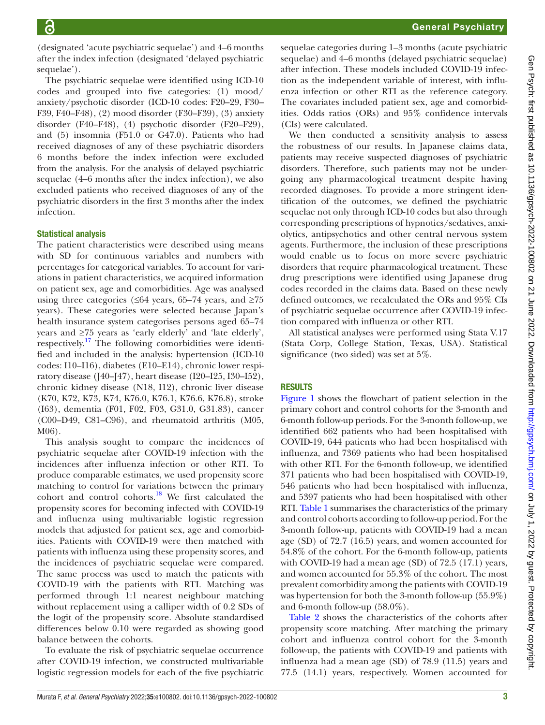(designated 'acute psychiatric sequelae') and 4–6 months after the index infection (designated 'delayed psychiatric sequelae').

The psychiatric sequelae were identified using ICD-10 codes and grouped into five categories: (1) mood/ anxiety/psychotic disorder (ICD-10 codes: F20–29, F30– F39, F40–F48), (2) mood disorder (F30–F39), (3) anxiety disorder (F40–F48), (4) psychotic disorder (F20–F29), and (5) insomnia (F51.0 or G47.0). Patients who had received diagnoses of any of these psychiatric disorders 6 months before the index infection were excluded from the analysis. For the analysis of delayed psychiatric sequelae (4–6 months after the index infection), we also excluded patients who received diagnoses of any of the psychiatric disorders in the first 3 months after the index infection.

## Statistical analysis

The patient characteristics were described using means with SD for continuous variables and numbers with percentages for categorical variables. To account for variations in patient characteristics, we acquired information on patient sex, age and comorbidities. Age was analysed using three categories ( $\leq 64$  years, 65–74 years, and  $\geq 75$ years). These categories were selected because Japan's health insurance system categorises persons aged 65–74 years and ≥75 years as 'early elderly' and 'late elderly', respectively.<sup>17</sup> The following comorbidities were identified and included in the analysis: hypertension (ICD-10 codes: I10–I16), diabetes (E10–E14), chronic lower respiratory disease (J40–J47), heart disease (I20–I25, I30–I52), chronic kidney disease (N18, I12), chronic liver disease (K70, K72, K73, K74, K76.0, K76.1, K76.6, K76.8), stroke (I63), dementia (F01, F02, F03, G31.0, G31.83), cancer (C00–D49, C81–C96), and rheumatoid arthritis (M05, M06).

This analysis sought to compare the incidences of psychiatric sequelae after COVID-19 infection with the incidences after influenza infection or other RTI. To produce comparable estimates, we used propensity score matching to control for variations between the primary cohort and control cohorts.[18](#page-9-0) We first calculated the propensity scores for becoming infected with COVID-19 and influenza using multivariable logistic regression models that adjusted for patient sex, age and comorbidities. Patients with COVID-19 were then matched with patients with influenza using these propensity scores, and the incidences of psychiatric sequelae were compared. The same process was used to match the patients with COVID-19 with the patients with RTI. Matching was performed through 1:1 nearest neighbour matching without replacement using a calliper width of 0.2 SDs of the logit of the propensity score. Absolute standardised differences below 0.10 were regarded as showing good balance between the cohorts.

To evaluate the risk of psychiatric sequelae occurrence after COVID-19 infection, we constructed multivariable logistic regression models for each of the five psychiatric

sequelae categories during 1–3 months (acute psychiatric sequelae) and 4–6 months (delayed psychiatric sequelae) after infection. These models included COVID-19 infection as the independent variable of interest, with influenza infection or other RTI as the reference category. The covariates included patient sex, age and comorbidities. Odds ratios (ORs) and 95% confidence intervals (CIs) were calculated.

We then conducted a sensitivity analysis to assess the robustness of our results. In Japanese claims data, patients may receive suspected diagnoses of psychiatric disorders. Therefore, such patients may not be undergoing any pharmacological treatment despite having recorded diagnoses. To provide a more stringent identification of the outcomes, we defined the psychiatric sequelae not only through ICD-10 codes but also through corresponding prescriptions of hypnotics/sedatives, anxiolytics, antipsychotics and other central nervous system agents. Furthermore, the inclusion of these prescriptions would enable us to focus on more severe psychiatric disorders that require pharmacological treatment. These drug prescriptions were identified using Japanese drug codes recorded in the claims data. Based on these newly defined outcomes, we recalculated the ORs and 95% CIs of psychiatric sequelae occurrence after COVID-19 infection compared with influenza or other RTI.

All statistical analyses were performed using Stata V.17 (Stata Corp, College Station, Texas, USA). Statistical significance (two sided) was set at 5%.

# RESULTS

[Figure](#page-3-0) 1 shows the flowchart of patient selection in the primary cohort and control cohorts for the 3-month and 6-month follow-up periods. For the 3-month follow-up, we identified 662 patients who had been hospitalised with COVID-19, 644 patients who had been hospitalised with influenza, and 7369 patients who had been hospitalised with other RTI. For the 6-month follow-up, we identified 371 patients who had been hospitalised with COVID-19, 546 patients who had been hospitalised with influenza, and 5397 patients who had been hospitalised with other RTI. [Table](#page-4-0) 1 summarises the characteristics of the primary and control cohorts according to follow-up period. For the 3-month follow-up, patients with COVID-19 had a mean age (SD) of 72.7 (16.5) years, and women accounted for 54.8% of the cohort. For the 6-month follow-up, patients with COVID-19 had a mean age (SD) of 72.5 (17.1) years, and women accounted for 55.3% of the cohort. The most prevalent comorbidity among the patients with COVID-19 was hypertension for both the 3-month follow-up (55.9%) and 6-month follow-up (58.0%).

[Table](#page-5-0) 2 shows the characteristics of the cohorts after propensity score matching. After matching the primary cohort and influenza control cohort for the 3-month follow-up, the patients with COVID-19 and patients with influenza had a mean age (SD) of 78.9 (11.5) years and 77.5 (14.1) years, respectively. Women accounted for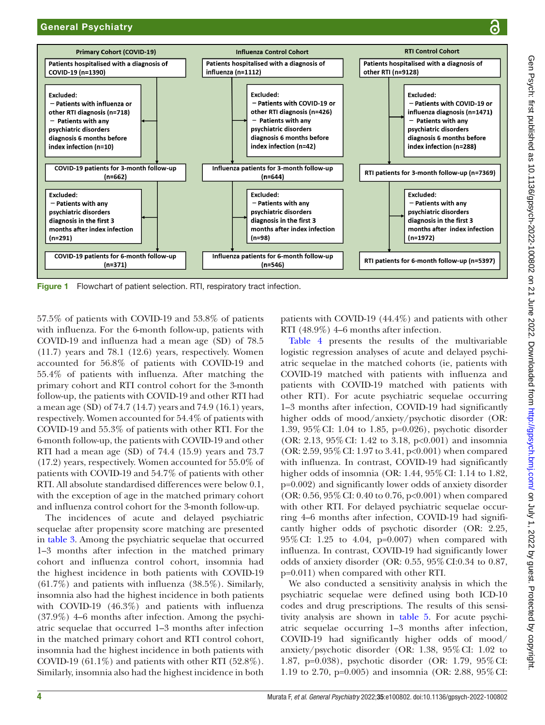

<span id="page-3-0"></span>Figure 1 Flowchart of patient selection. RTI, respiratory tract infection.

57.5% of patients with COVID-19 and 53.8% of patients with influenza. For the 6-month follow-up, patients with COVID-19 and influenza had a mean age (SD) of 78.5 (11.7) years and 78.1 (12.6) years, respectively. Women accounted for 56.8% of patients with COVID-19 and 55.4% of patients with influenza. After matching the primary cohort and RTI control cohort for the 3-month follow-up, the patients with COVID-19 and other RTI had a mean age (SD) of 74.7 (14.7) years and 74.9 (16.1) years, respectively. Women accounted for 54.4% of patients with COVID-19 and 55.3% of patients with other RTI. For the 6-month follow-up, the patients with COVID-19 and other RTI had a mean age (SD) of 74.4 (15.9) years and 73.7 (17.2) years, respectively. Women accounted for 55.0% of patients with COVID-19 and 54.7% of patients with other RTI. All absolute standardised differences were below 0.1, with the exception of age in the matched primary cohort and influenza control cohort for the 3-month follow-up.

The incidences of acute and delayed psychiatric sequelae after propensity score matching are presented in [table](#page-6-0) 3. Among the psychiatric sequelae that occurred 1–3 months after infection in the matched primary cohort and influenza control cohort, insomnia had the highest incidence in both patients with COVID-19  $(61.7\%)$  and patients with influenza  $(38.5\%)$ . Similarly, insomnia also had the highest incidence in both patients with COVID-19 (46.3%) and patients with influenza (37.9%) 4–6 months after infection. Among the psychiatric sequelae that occurred 1–3 months after infection in the matched primary cohort and RTI control cohort, insomnia had the highest incidence in both patients with COVID-19 (61.1%) and patients with other RTI  $(52.8\%)$ . Similarly, insomnia also had the highest incidence in both

patients with COVID-19 (44.4%) and patients with other RTI (48.9%) 4–6 months after infection.

[Table](#page-6-1) 4 presents the results of the multivariable logistic regression analyses of acute and delayed psychiatric sequelae in the matched cohorts (ie, patients with COVID-19 matched with patients with influenza and patients with COVID-19 matched with patients with other RTI). For acute psychiatric sequelae occurring 1–3 months after infection, COVID-19 had significantly higher odds of mood/anxiety/psychotic disorder (OR: 1.39, 95%CI: 1.04 to 1.85, p=0.026), psychotic disorder (OR: 2.13, 95%CI: 1.42 to 3.18, p<0.001) and insomnia (OR: 2.59, 95%CI: 1.97 to 3.41, p<0.001) when compared with influenza. In contrast, COVID-19 had significantly higher odds of insomnia (OR: 1.44, 95% CI: 1.14 to 1.82, p=0.002) and significantly lower odds of anxiety disorder (OR: 0.56, 95%CI: 0.40 to 0.76, p<0.001) when compared with other RTI. For delayed psychiatric sequelae occurring 4–6 months after infection, COVID-19 had significantly higher odds of psychotic disorder (OR: 2.25, 95%CI: 1.25 to 4.04, p=0.007) when compared with influenza. In contrast, COVID-19 had significantly lower odds of anxiety disorder (OR: 0.55, 95%CI:0.34 to 0.87, p=0.011) when compared with other RTI.

We also conducted a sensitivity analysis in which the psychiatric sequelae were defined using both ICD-10 codes and drug prescriptions. The results of this sensitivity analysis are shown in [table](#page-7-0) 5. For acute psychiatric sequelae occurring 1–3 months after infection, COVID-19 had significantly higher odds of mood/ anxiety/psychotic disorder (OR: 1.38, 95%CI: 1.02 to 1.87, p=0.038), psychotic disorder (OR: 1.79, 95%CI: 1.19 to 2.70, p=0.005) and insomnia (OR: 2.88, 95%CI: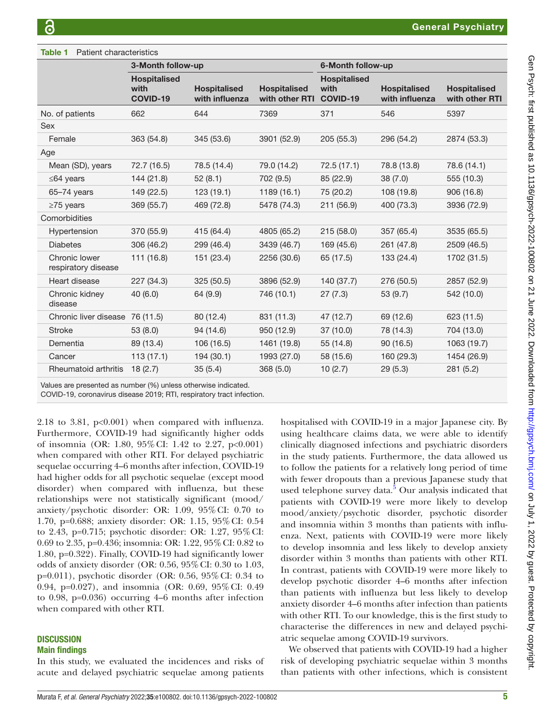#### <span id="page-4-0"></span>Table 1 Patient characteristics 3-Month follow-up 6-Month follow-up **Hospitalised** with COVID-19 **Hospitalised** with influenza Hospitalised with other RTI **Hospitalised** with COVID-19 **Hospitalised** with influenza **Hospitalised** with other RTI No. of patients 662 644 7369 371 546 5397 Sex Female 363 (54.8) 345 (53.6) 3901 (52.9) 205 (55.3) 296 (54.2) 2874 (53.3) Age Mean (SD), years 72.7 (16.5) 78.5 (14.4) 79.0 (14.2) 72.5 (17.1) 78.8 (13.8) 78.6 (14.1) ≤64 years 144 (21.8) 52 (8.1) 702 (9.5) 85 (22.9) 38 (7.0) 555 (10.3) 65–74 years 149 (22.5) 123 (19.1) 1189 (16.1) 75 (20.2) 108 (19.8) 906 (16.8) ≥75 years 369 (55.7) 469 (72.8) 5478 (74.3) 211 (56.9) 400 (73.3) 3936 (72.9) **Comorbidities** Hypertension 370 (55.9) 415 (64.4) 4805 (65.2) 215 (58.0) 357 (65.4) 3535 (65.5) Diabetes 306 (46.2) 299 (46.4) 3439 (46.7) 169 (45.6) 261 (47.8) 2509 (46.5) Chronic lower respiratory disease 111 (16.8) 151 (23.4) 2256 (30.6) 65 (17.5) 133 (24.4) 1702 (31.5) Heart disease 227 (34.3) 325 (50.5) 3896 (52.9) 140 (37.7) 276 (50.5) 2857 (52.9) Chronic kidney disease 40 (6.0) 64 (9.9) 746 (10.1) 27 (7.3) 53 (9.7) 542 (10.0) Chronic liver disease 76 (11.5) 80 (12.4) 831 (11.3) 47 (12.7) 69 (12.6) 623 (11.5) Stroke 53 (8.0) 94 (14.6) 950 (12.9) 37 (10.0) 78 (14.3) 704 (13.0) Dementia 89 (13.4) 106 (16.5) 1461 (19.8) 55 (14.8) 90 (16.5) 1063 (19.7) Cancer 113 (17.1) 194 (30.1) 1993 (27.0) 58 (15.6) 160 (29.3) 1454 (26.9) Rheumatoid arthritis 18 (2.7) 35 (5.4) 368 (5.0) 10 (2.7) 29 (5.3) 281 (5.2)

Values are presented as number (%) unless otherwise indicated.

COVID-19, coronavirus disease 2019; RTI, respiratory tract infection.

2.18 to 3.81, p<0.001) when compared with influenza. Furthermore, COVID-19 had significantly higher odds of insomnia (OR: 1.80, 95%CI: 1.42 to 2.27, p<0.001) when compared with other RTI. For delayed psychiatric sequelae occurring 4–6 months after infection, COVID-19 had higher odds for all psychotic sequelae (except mood disorder) when compared with influenza, but these relationships were not statistically significant (mood/ anxiety/psychotic disorder: OR: 1.09, 95%CI: 0.70 to 1.70, p=0.688; anxiety disorder: OR: 1.15, 95%CI: 0.54 to 2.43, p=0.715; psychotic disorder: OR: 1.27, 95%CI: 0.69 to 2.35, p=0.436; insomnia: OR: 1.22, 95%CI: 0.82 to 1.80, p=0.322). Finally, COVID-19 had significantly lower odds of anxiety disorder (OR: 0.56, 95%CI: 0.30 to 1.03, p=0.011), psychotic disorder (OR: 0.56, 95%CI: 0.34 to 0.94, p=0.027), and insomnia (OR: 0.69, 95%CI: 0.49 to 0.98, p=0.036) occurring 4–6 months after infection when compared with other RTI.

#### **DISCUSSION** Main findings

In this study, we evaluated the incidences and risks of acute and delayed psychiatric sequelae among patients

hospitalised with COVID-19 in a major Japanese city. By using healthcare claims data, we were able to identify clinically diagnosed infections and psychiatric disorders in the study patients. Furthermore, the data allowed us to follow the patients for a relatively long period of time with fewer dropouts than a previous Japanese study that used telephone survey data.<sup>[5](#page-8-11)</sup> Our analysis indicated that patients with COVID-19 were more likely to develop mood/anxiety/psychotic disorder, psychotic disorder and insomnia within 3 months than patients with influenza. Next, patients with COVID-19 were more likely to develop insomnia and less likely to develop anxiety disorder within 3 months than patients with other RTI. In contrast, patients with COVID-19 were more likely to develop psychotic disorder 4–6 months after infection than patients with influenza but less likely to develop anxiety disorder 4–6 months after infection than patients with other RTI. To our knowledge, this is the first study to characterise the differences in new and delayed psychiatric sequelae among COVID-19 survivors.

We observed that patients with COVID-19 had a higher risk of developing psychiatric sequelae within 3 months than patients with other infections, which is consistent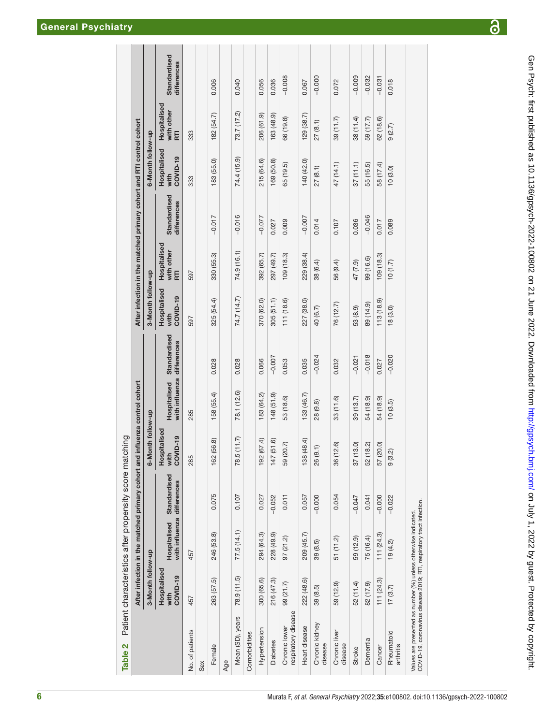|                                                                                                                                         |                                  |                                            | After infection in the matched primary cohort and influenza control cohort |                                  |                                            |              |                                  |                                          | After infection in the matched primary cohort and RTI control cohort |                                  |                                 |                             |
|-----------------------------------------------------------------------------------------------------------------------------------------|----------------------------------|--------------------------------------------|----------------------------------------------------------------------------|----------------------------------|--------------------------------------------|--------------|----------------------------------|------------------------------------------|----------------------------------------------------------------------|----------------------------------|---------------------------------|-----------------------------|
|                                                                                                                                         | 3-Month follow-up                |                                            |                                                                            | Month follow-up<br>မ             |                                            |              | 3-Month follow-up                |                                          |                                                                      | 6-Month follow-up                |                                 |                             |
|                                                                                                                                         | Hospitalised<br>COVID-19<br>with | with influenza differences<br>Hospitalised | Standardised                                                               | Hospitalised<br>COVID-19<br>with | with influenza differences<br>Hospitalised | Standardised | Hospitalised<br>COVID-19<br>with | Hospitalised<br>with other<br><b>RTI</b> | Standardised<br>differences                                          | Hospitalised<br>COVID-19<br>with | Hospitalised<br>with other<br>E | Standardised<br>differences |
| No. of patients                                                                                                                         | 457                              | 457                                        |                                                                            | 285                              | 285                                        |              | 597                              | 597                                      |                                                                      | 333                              | 333                             |                             |
| Sex                                                                                                                                     |                                  |                                            |                                                                            |                                  |                                            |              |                                  |                                          |                                                                      |                                  |                                 |                             |
| Female                                                                                                                                  | 263 (57.5)                       | 246 (53.8)                                 | 0.075                                                                      | 162 (56.8)                       | 158 (55.4)                                 | 0.028        | 325 (54.4)                       | 330 (55.3)                               | $-0.017$                                                             | 183 (55.0)                       | 182 (54.7)                      | 0.006                       |
| Age                                                                                                                                     |                                  |                                            |                                                                            |                                  |                                            |              |                                  |                                          |                                                                      |                                  |                                 |                             |
| Mean (SD), years                                                                                                                        | 78.9 (11.5)                      | 77.5(14.1)                                 | 0.107                                                                      | 78.5(11.7)                       | 78.1 (12.6)                                | 0.028        | 74.7 (14.7)                      | 74.9 (16.1)                              | $-0.016$                                                             | 74.4 (15.9)                      | 73.7 (17.2)                     | 0.040                       |
| Comorbidities                                                                                                                           |                                  |                                            |                                                                            |                                  |                                            |              |                                  |                                          |                                                                      |                                  |                                 |                             |
| Hypertension                                                                                                                            | 300 (65.6)                       | 294 (64.3)                                 | 0.027                                                                      | 192 (67.4)                       | 183 (64.2)                                 | 0.066        | 370 (62.0)                       | 392 (65.7)                               | $-0.077$                                                             | 215 (64.6)                       | 206 (61.9)                      | 0.056                       |
| <b>Diabetes</b>                                                                                                                         | 216 (47.3)                       | 228 (49.9)                                 | $-0.052$                                                                   | 147 (51.6)                       | 148 (51.9)                                 | $-0.007$     | 305(51.1)                        | 297 (49.7)                               | 0.027                                                                | 169 (50.8)                       | 163 (48.9)                      | 0.036                       |
| respiratory disease<br>Chronic lower                                                                                                    | 99 (21.7)                        | 97(21.2)                                   | 0.011                                                                      | 59 (20.7)                        | 53 (18.6)                                  | 0.053        | 111 (18.6)                       | 109 (18.3)                               | 0.009                                                                | 65 (19.5)                        | 66 (19.8)                       | $-0.008$                    |
| Heart disease                                                                                                                           | 222 (48.6)                       | 209 (45.7)                                 | 0.057                                                                      | 138 (48.4)                       | 133 (46.7)                                 | 0.035        | 227 (38.0)                       | 229 (38.4)                               | $-0.007$                                                             | 140 (42.0)                       | 129 (38.7)                      | 0.067                       |
| Chronic kidney<br>disease                                                                                                               | 39(8.5)                          | 39 (8.5)                                   | $-0.000$                                                                   | (9.1)<br>26                      | 28 (9.8)                                   | $-0.024$     | 40 (6.7)                         | 38 (6.4)                                 | 0.014                                                                | 27(8.1)                          | 27(8.1)                         | $-0.000$                    |
| Chronic liver<br>disease                                                                                                                | 59 (12.9)                        | 51 (11.2)                                  | 0.054                                                                      | 36 (12.6)                        | 33(11.6)                                   | 0.032        | 76 (12.7)                        | 56 (9.4)                                 | 0.107                                                                | 47 (14.1)                        | 39 (11.7)                       | 0.072                       |
| Stroke                                                                                                                                  | 52 (11.4)                        | 59 (12.9)                                  | $-0.047$                                                                   | 37(13.0)                         | 39 (13.7)                                  | $-0.021$     | 53 (8.9)                         | 47 (7.9)                                 | 0.036                                                                | 37(11.1)                         | 38 (11.4)                       | $-0.009$                    |
| Dementia                                                                                                                                | 82 (17.9)                        | 75 (16.4)                                  | 0.041                                                                      | 52 (18.2)                        | 54 (18.9)                                  | $-0.018$     | 89 (14.9)                        | 99 (16.6)                                | $-0.046$                                                             | 55 (16.5)                        | 59 (17.7)                       | $-0.032$                    |
| Cancer                                                                                                                                  | 111(24.3)                        | 111 (24.3)                                 | $-0.000$                                                                   | 57 (20.0)                        | 54 (18.9)                                  | 0.027        | 113 (18.9)                       | 109(18.3)                                | 0.017                                                                | 58 (17.4)                        | 62(18.6)                        | $-0.031$                    |
| Rheumatoid<br>arthritis                                                                                                                 | 17(3.7)                          | 19(4.2)                                    | $-0.022$                                                                   | (3.2)<br>တ                       | 10(3.5)                                    | $-0.020$     | 18(3.0)                          | (1.7)                                    | 0.089                                                                | 10(3.0)                          | 9(2.7)                          | 0.018                       |
| COVID-19, coronavirus disease 2019; RTI, respiratory tract infection.<br>Values are presented as number (%) unless otherwise indicated. |                                  |                                            |                                                                            |                                  |                                            |              |                                  |                                          |                                                                      |                                  |                                 |                             |

Table 2 Patient characteristics after propensity score matching

<span id="page-5-0"></span>Table 2

Patient characteristics after propensity score matching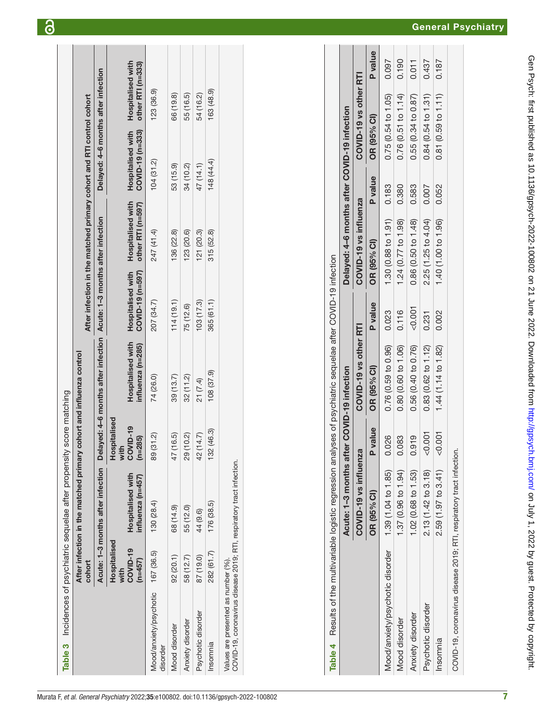| Table 3                                                                                                     |                                               | Incidences of psychiatric sequelae after propensity score matching                                         |                                                             |                                                                       |                                       |                                                                      |                                       |                                        |
|-------------------------------------------------------------------------------------------------------------|-----------------------------------------------|------------------------------------------------------------------------------------------------------------|-------------------------------------------------------------|-----------------------------------------------------------------------|---------------------------------------|----------------------------------------------------------------------|---------------------------------------|----------------------------------------|
|                                                                                                             | cohort                                        | After infection in the matched primary cohort and influenza control                                        |                                                             |                                                                       |                                       | After infection in the matched primary cohort and RTI control cohort |                                       |                                        |
|                                                                                                             |                                               | Acute: 1-3 months after infection                                                                          |                                                             | Delayed: 4-6 months after infection Acute: 1-3 months after infection |                                       |                                                                      | Delayed: 4-6 months after infection   |                                        |
|                                                                                                             | Hospitalised<br>COVID-19<br>$(n=457)$<br>with | <b>Hospitalised with</b><br>influenza (n=457)                                                              | <b>Hospitalised</b><br><b>COVID-19</b><br>$(n=285)$<br>with | <b>Hospitalised with</b><br>influenza (n=285)                         | Hospitalised with<br>COVID-19 (n=597) | Hospitalised with<br>other RTI (n=597)                               | COVID-19 (n=333)<br>Hospitalised with | Hospitalised with<br>other RTI (n=333) |
| Mood/anxiety/psychotic<br>disorder                                                                          | 167 (36.5)                                    | 130 (28.4)                                                                                                 | 89 (31.2)                                                   | 74 (26.0)                                                             | 207 (34.7)                            | 247 (41.4)                                                           | 104(31.2)                             | 123 (36.9)                             |
| Mood disorder                                                                                               | 92(20.1)                                      | 68 (14.9)                                                                                                  | 47 (16.5)                                                   | 39(13.7)                                                              | 114(19.1)                             | 136 (22.8)                                                           | 53 (15.9)                             | 66 (19.8)                              |
| Anxiety disorder                                                                                            | 58 (12.7)                                     | 55 (12.0)                                                                                                  | 29 (10.2)                                                   | 32(11.2)                                                              | 75 (12.6)                             | 123 (20.6)                                                           | 34 (10.2)                             | 55 (16.5)                              |
| Psychotic disorder                                                                                          | 87 (19.0)                                     | 44 (9.6)                                                                                                   | 42 (14.7)                                                   | 21 (7.4)                                                              | 103(17.3)                             | 121 (20.3)                                                           | 47 (14.1)                             | 54 (16.2)                              |
| Insomnia                                                                                                    | 282 (61.7)                                    | 176(38.5)                                                                                                  | 32(46.3)                                                    | 108(37.9)                                                             | 365 (61.1)                            | 315(52.8)                                                            | 148 (44.4)                            | 163 (48.9)                             |
| COVID-19, coronavirus disease 2019; RTI, respiratory tract infection.<br>Values are presented as number (%) |                                               |                                                                                                            |                                                             |                                                                       |                                       |                                                                      |                                       |                                        |
|                                                                                                             |                                               |                                                                                                            |                                                             |                                                                       |                                       |                                                                      |                                       |                                        |
|                                                                                                             |                                               |                                                                                                            |                                                             |                                                                       |                                       |                                                                      |                                       |                                        |
|                                                                                                             |                                               |                                                                                                            |                                                             |                                                                       |                                       |                                                                      |                                       |                                        |
|                                                                                                             |                                               |                                                                                                            |                                                             |                                                                       |                                       |                                                                      |                                       |                                        |
| Table 4                                                                                                     |                                               | Results of the multivariable logistic regression analyses of psychiatric sequelae after COVID-19 infection |                                                             |                                                                       |                                       |                                                                      |                                       |                                        |
|                                                                                                             |                                               | Acute: 1-3 months after COVID-19 infection                                                                 |                                                             |                                                                       |                                       | Delayed: 4-6 months after COVID-19 infection                         |                                       |                                        |
|                                                                                                             |                                               | COVID-19 vs influenza                                                                                      |                                                             | COVID-19 vs other RTI                                                 |                                       | COVID-19 vs influenza                                                |                                       | COVID-19 vs other RTI                  |
|                                                                                                             |                                               | OR (95% CI)                                                                                                | <b>P</b> value                                              | OR (95% CI)                                                           | <b>P</b> value                        | OR (95% CI)                                                          | OR (95% CI)<br><b>P</b> value         | <b>P</b> value                         |
|                                                                                                             |                                               |                                                                                                            |                                                             |                                                                       |                                       |                                                                      |                                       |                                        |

ခြ

0.190 0.097

0.75 (0.54 to 1.05) 0.76 (0.51 to 1.14)

0.183 0.380 0.583 0.007

 $1.30(0.88 to 1.91)$ 1.24 (0.77 to 1.98) 0.86 (0.50 to 1.48) 2.25 (1.25 to 4.04) 1.40 (1.00 to 1.96)

 $0.011$ 0.437 0.187

 $0.55(0.34 to 0.87)$  $0.84(0.54 to 1.31)$  0.81 (0.59 to 1.11)

0.052

0.002 0.231

 $0.007$  $< 0.001$ 

2.59 (1.97 to 3.41)

<span id="page-6-1"></span><span id="page-6-0"></span>Psychotic disorder Anxiety disorder Mood disorder

Insomnia

0.919

Mood/anxiety/psychotic disorder 1.39 (1.04 to 1.85) 0.026 0.76 (0.59 to 0.96) 0.023 1.30 (0.88 to 1.91) 0.183 0.75 (0.54 to 1.05) 0.097 Mood disorder 1.37 (0.96 to 1.96 to 1.963 0.80 (0.60 to 1.06 o.1.06 to 1.24 (0.77 to 1.06) 0.1980 0.380 0.198 Anxiety disorder 1.02 (0.68 to 1.53) 0.919 0.56 (0.40 to 0.76) <0.001 0.86 (0.50 to 1.48) 0.583 0.55 (0.34 to 0.87) 0.011 Psychotic disorder 2.13 (1.42 to 3.18) <0.001 0.83 (0.62 to 1.12) 0.231 2.25 (1.25 to 4.04) 0.007 0.84 (0.54 to 1.31) 0.437 Insomnia 2.59 (1.11) 0.181 0.002 1.44 (1.14 to 1.44 (1.14 to 1.41 (1.14 to 1.41 to 1.41 to 1.00 o.002 0.000 (1.00 to 1.11) 0.187 0.187 0.187 0.187 0.187 0.197 0.197 0.197 0.197 0.197 0.197 0.197 0.197 0.197 0.197 0.197 0.1

0.76 (0.59 to 0.96) 0.80 (0.60 to 1.06) 0.56 (0.40 to 0.76) 0.83 (0.62 to 1.12) 1.44 (1.14 to 1.82)

0.026 0.083

1.39 (1.04 to 1.85)

Mood/anxiety/psychotic disorder

1.37 (0.96 to 1.94) 1.02 (0.68 to 1.53) 2.13 (1.42 to 3.18)

0.023 0.116  $0.001$ 

COVID-19, coronavirus disease 2019; RTI, respiratory tract infection.

COVID-19, coronavirus disease 2019; RTI, respiratory tract infection.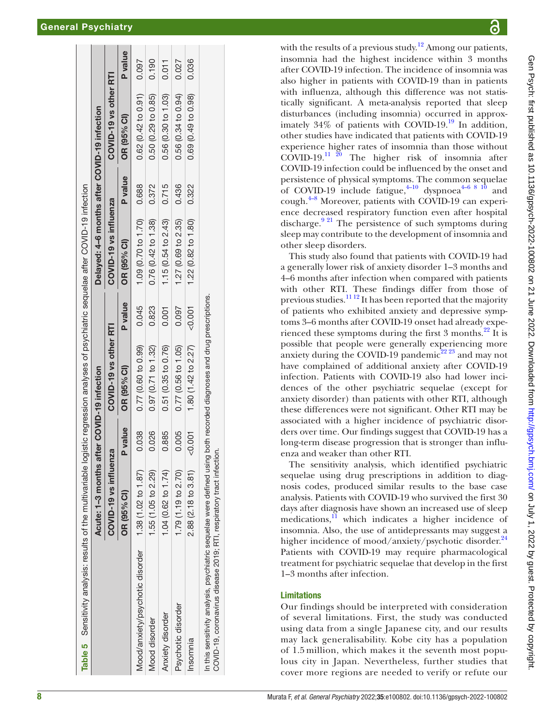|                                                                                                                                                                                                | Acute: 1-3 months after COVID-19 infection |       |                       |          | Delayed: 4-6 months after COVID-19 infection |                |                       |         |
|------------------------------------------------------------------------------------------------------------------------------------------------------------------------------------------------|--------------------------------------------|-------|-----------------------|----------|----------------------------------------------|----------------|-----------------------|---------|
|                                                                                                                                                                                                | COVID-19 vs influenza                      |       | COVID-19 vs other RTI |          | COVID-19 vs influenza                        |                | COVID-19 vs other RTI |         |
|                                                                                                                                                                                                | OR (95% Cl)                                | value | OR (95% CI)           | P value  | OR (95% CI)                                  | <b>P</b> value | OR (95% CI)           | P value |
| Mood/anxiety/psychotic disorder                                                                                                                                                                | 1.38 (1.02 to 1.87)                        | 0.038 | 0.77 (0.60 to 0.99)   | 0.045    | 1.09 (0.70 to 1.70) 0.688                    |                | $0.62$ (0.42 to 0.91) | 0.097   |
| Mood disorder                                                                                                                                                                                  | 1.55 (1.05 to 2.29)                        | 0.026 | 0.97(0.71 to 1.32)    | 0.823    | 0.76(0.42 to 1.38)                           | 0.372          | 0.50(0.29 to 0.85)    | 0.190   |
| <b>Anxiety disorder</b>                                                                                                                                                                        | 1.04 (0.62 to 1.74)                        | 0.885 | $0.51$ (0.35 to 0.76) | 0.001    | 1.15 $(0.54 \text{ to } 2.43)$               | 0.715          | 0.56 (0.30 to 1.03)   | 0.011   |
| Psychotic disorder                                                                                                                                                                             | 1.79 (1.19 to 2.70)                        | 0.005 | 0.77(0.56 to 1.05)    | 0.097    | $1.27$ (0.69 to 2.35)                        | 0.436          | 0.56 (0.34 to 0.94)   | 0.027   |
| Insomnia                                                                                                                                                                                       | 2.88 (2.18 to 3.81)                        | 0.001 | 1.80 (1.42 to 2.27)   | $-0.001$ | $1.22$ (0.82 to $1.80$ )                     | 0.322          | 0.69 (0.49 to 0.98)   | 0.036   |
| In this sensitivity analysis, psychiatric sequelae were defined using both recorded diagnoses and drug prescriptions.<br>COVID-19, coronavirus disease 2019; RTI, respiratory tract infection. |                                            |       |                       |          |                                              |                |                       |         |

with the results of a previous study.<sup>[12](#page-8-8)</sup> Among our patients, insomnia had the highest incidence within 3 months after COVID-19 infection. The incidence of insomnia was also higher in patients with COVID-19 than in patients with influenza, although this difference was not statis tically significant. A meta-analysis reported that sleep disturbances (including insomnia) occurred in approx imately  $34\%$  of patients with COVID-19.<sup>19</sup> In addition, other studies have indicated that patients with COVID-19 experience higher rates of insomnia than those without  $\overrightarrow{COVID-19}$ .<sup>11 20</sup> The higher risk of insomnia after COVID-19 infection could be influenced by the onset and persistence of physical symptoms. The common sequelae of COVID-19 include fatigue, $4^{-10}$  dyspnoea<sup>4–6 8</sup> <sup>10</sup> and cough.<sup>4-8</sup> Moreover, patients with COVID-19 can experience decreased respiratory function even after hospital discharge.<sup>9 21</sup> The persistence of such symptoms during sleep may contribute to the development of insomnia and other sleep disorders.

This study also found that patients with COVID-19 had a generally lower risk of anxiety disorder 1–3 months and 4–6 months after infection when compared with patients with other RTI. These findings differ from those of previous studies. $\frac{1112}{2}$  It has been reported that the majority of patients who exhibited anxiety and depressive symp toms 3-6 months after COVID-19 onset had already experienced these symptoms during the first  $3$  months.<sup>22</sup> It is possible that people were generally experiencing more anxiety during the COVID-19 pandemic<sup>[22 23](#page-9-2)</sup> and may not have complained of additional anxiety after COVID-19 infection. Patients with COVID-19 also had lower inci dences of the other psychiatric sequelae (except for anxiety disorder) than patients with other RTI, although these differences were not significant. Other RTI may be associated with a higher incidence of psychiatric disorders over time. Our findings suggest that COVID-19 has a long-term disease progression that is stronger than influ enza and weaker than other RTI.

The sensitivity analysis, which identified psychiatric sequelae using drug prescriptions in addition to diag nosis codes, produced similar results to the base case analysis. Patients with COVID-19 who survived the first 30 days after diagnosis have shown an increased use of sleep medications, $\frac{11}{11}$  which indicates a higher incidence of insomnia. Also, the use of antidepressants may suggest a higher incidence of mood/anxiety/psychotic disorder.<sup>[24](#page-9-3)</sup> Patients with COVID-19 may require pharmacological treatment for psychiatric sequelae that develop in the first 1–3 months after infection.

# Limitations

<span id="page-7-0"></span>Our findings should be interpreted with consideration of several limitations. First, the study was conducted using data from a single Japanese city, and our results may lack generalisability. Kobe city has a population of 1.5 million, which makes it the seventh most popu lous city in Japan. Nevertheless, further studies that cover more regions are needed to verify or refute our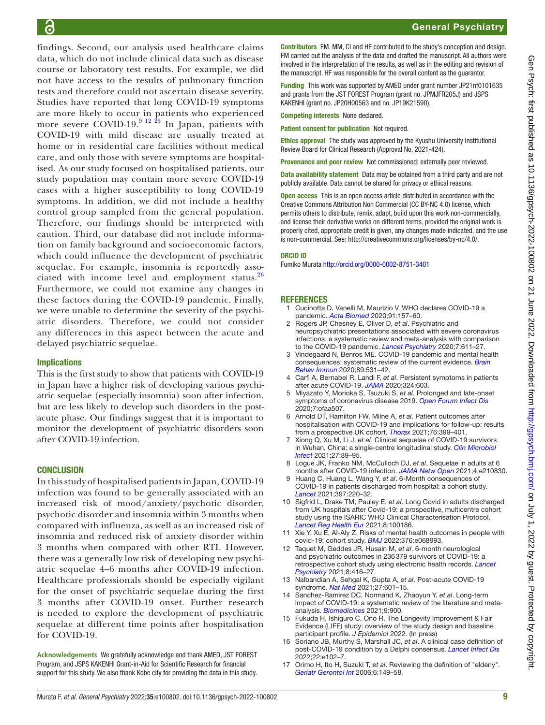findings. Second, our analysis used healthcare claims data, which do not include clinical data such as disease course or laboratory test results. For example, we did not have access to the results of pulmonary function tests and therefore could not ascertain disease severity. Studies have reported that long COVID-19 symptoms are more likely to occur in patients who experienced more severe COVID-19.<sup>9 12</sup> <sup>25</sup> In Japan, patients with COVID-19 with mild disease are usually treated at home or in residential care facilities without medical care, and only those with severe symptoms are hospitalised. As our study focused on hospitalised patients, our study population may contain more severe COVID-19 cases with a higher susceptibility to long COVID-19 symptoms. In addition, we did not include a healthy control group sampled from the general population. Therefore, our findings should be interpreted with caution. Third, our database did not include information on family background and socioeconomic factors, which could influence the development of psychiatric sequelae. For example, insomnia is reportedly asso-ciated with income level and employment status.<sup>[26](#page-9-4)</sup> Furthermore, we could not examine any changes in these factors during the COVID-19 pandemic. Finally, we were unable to determine the severity of the psychiatric disorders. Therefore, we could not consider any differences in this aspect between the acute and delayed psychiatric sequelae.

#### Implications

This is the first study to show that patients with COVID-19 in Japan have a higher risk of developing various psychiatric sequelae (especially insomnia) soon after infection, but are less likely to develop such disorders in the postacute phase. Our findings suggest that it is important to monitor the development of psychiatric disorders soon after COVID-19 infection.

#### **CONCLUSION**

In this study of hospitalised patients in Japan, COVID-19 infection was found to be generally associated with an increased risk of mood/anxiety/psychotic disorder, psychotic disorder and insomnia within 3 months when compared with influenza, as well as an increased risk of insomnia and reduced risk of anxiety disorder within 3 months when compared with other RTI. However, there was a generally low risk of developing new psychiatric sequelae 4–6 months after COVID-19 infection. Healthcare professionals should be especially vigilant for the onset of psychiatric sequelae during the first 3 months after COVID-19 onset. Further research is needed to explore the development of psychiatric sequelae at different time points after hospitalisation for COVID-19.

**Acknowledgements** We gratefully acknowledge and thank AMED, JST FOREST Program, and JSPS KAKENHI Grant-in-Aid for Scientific Research for financial support for this study. We also thank Kobe city for providing the data in this study.

# General Psychiatry

Contributors FM, MM, CI and HF contributed to the study's conception and design. FM carried out the analysis of the data and drafted the manuscript. All authors were involved in the interpretation of the results, as well as in the editing and revision of the manuscript. HF was responsible for the overall content as the guarantor.

Funding This work was supported by AMED under grant number JP21nf0101635 and grants from the JST FOREST Program (grant no. JPMJFR205J) and JSPS KAKENHI (grant no. JP20H00563 and no. JP19K21590).

Competing interests None declared.

Patient consent for publication Not required.

**Ethics approval** The study was approved by the Kyushu University Institutional Review Board for Clinical Research (Approval No. 2021-424).

Provenance and peer review Not commissioned; externally peer reviewed.

Data availability statement Data may be obtained from a third party and are not publicly available. Data cannot be shared for privacy or ethical reasons.

Open access This is an open access article distributed in accordance with the Creative Commons Attribution Non Commercial (CC BY-NC 4.0) license, which permits others to distribute, remix, adapt, build upon this work non-commercially, and license their derivative works on different terms, provided the original work is properly cited, appropriate credit is given, any changes made indicated, and the use is non-commercial. See: [http://creativecommons.org/licenses/by-nc/4.0/.](http://creativecommons.org/licenses/by-nc/4.0/)

#### ORCID iD

Fumiko Murata<http://orcid.org/0000-0002-8751-3401>

#### **REFERENCES**

- <span id="page-8-0"></span>1 Cucinotta D, Vanelli M, Maurizio V. WHO declares COVID-19 a pandemic. *[Acta Biomed](http://dx.doi.org/10.23750/abm.v91i1.9397)* 2020;91:157–60.
- <span id="page-8-1"></span>2 Rogers JP, Chesney E, Oliver D, *et al*. Psychiatric and neuropsychiatric presentations associated with severe coronavirus infections: a systematic review and meta-analysis with comparison to the COVID-19 pandemic. *[Lancet Psychiatry](http://dx.doi.org/10.1016/S2215-0366(20)30203-0)* 2020;7:611–27.
- <span id="page-8-2"></span>3 Vindegaard N, Benros ME. COVID-19 pandemic and mental health consequences: systematic review of the current evidence. *[Brain](http://dx.doi.org/10.1016/j.bbi.2020.05.048)  [Behav Immun](http://dx.doi.org/10.1016/j.bbi.2020.05.048)* 2020;89:531–42.
- <span id="page-8-3"></span>4 Carfì A, Bernabei R, Landi F, *et al*. Persistent symptoms in patients after acute COVID-19. *[JAMA](http://dx.doi.org/10.1001/jama.2020.12603)* 2020;324:603.
- <span id="page-8-11"></span>5 Miyazato Y, Morioka S, Tsuzuki S, *et al*. Prolonged and late-onset symptoms of coronavirus disease 2019. *[Open Forum Infect Dis](http://dx.doi.org/10.1093/ofid/ofaa507)* 2020;7:ofaa507.
- <span id="page-8-6"></span>6 Arnold DT, Hamilton FW, Milne A, *et al*. Patient outcomes after hospitalisation with COVID-19 and implications for follow-up: results from a prospective UK cohort. *[Thorax](http://dx.doi.org/10.1136/thoraxjnl-2020-216086)* 2021;76:399–401.
- <span id="page-8-4"></span>7 Xiong Q, Xu M, Li J, *et al*. Clinical sequelae of COVID-19 survivors in Wuhan, China: a single-centre longitudinal study. *[Clin Microbiol](http://dx.doi.org/10.1016/j.cmi.2020.09.023)  [Infect](http://dx.doi.org/10.1016/j.cmi.2020.09.023)* 2021;27:89–95.
- 8 Logue JK, Franko NM, McCulloch DJ, *et al*. Sequelae in adults at 6 months after COVID-19 infection. *[JAMA Netw Open](http://dx.doi.org/10.1001/jamanetworkopen.2021.0830)* 2021;4:e210830.
- <span id="page-8-5"></span>Huang C, Huang L, Wang Y, et al. 6-Month consequences of COVID-19 in patients discharged from hospital: a cohort study. *[Lancet](http://dx.doi.org/10.1016/S0140-6736(20)32656-8)* 2021;397:220–32.
- 10 Sigfrid L, Drake TM, Pauley E, *et al*. Long Covid in adults discharged from UK hospitals after Covid-19: a prospective, multicentre cohort study using the ISARIC WHO Clinical Characterisation Protocol. *[Lancet Reg Health Eur](http://dx.doi.org/10.1016/j.lanepe.2021.100186)* 2021;8:100186.
- <span id="page-8-7"></span>11 Xie Y, Xu E, Al-Aly Z. Risks of mental health outcomes in people with covid-19: cohort study. *[BMJ](http://dx.doi.org/10.1136/bmj-2021-068993)* 2022;376:e068993.
- <span id="page-8-8"></span>12 Taquet M, Geddes JR, Husain M, *et al*. 6-month neurological and psychiatric outcomes in 236379 survivors of COVID-19: a retrospective cohort study using electronic health records. *[Lancet](http://dx.doi.org/10.1016/S2215-0366(21)00084-5)  [Psychiatry](http://dx.doi.org/10.1016/S2215-0366(21)00084-5)* 2021;8:416–27.
- <span id="page-8-9"></span>13 Nalbandian A, Sehgal K, Gupta A, *et al*. Post-acute COVID-19 syndrome. *[Nat Med](http://dx.doi.org/10.1038/s41591-021-01283-z)* 2021;27:601–15.
- <span id="page-8-10"></span>14 Sanchez-Ramirez DC, Normand K, Zhaoyun Y, *et al*. Long-term impact of COVID-19: a systematic review of the literature and metaanalysis. *[Biomedicines](http://dx.doi.org/10.3390/biomedicines9080900)* 2021;9:900.
- <span id="page-8-12"></span>15 Fukuda H, Ishiguro C, Ono R. The Longevity Improvement & Fair Evidence (LIFE) study: overview of the study design and baseline participant profile. *J Epidemiol* 2022. (In press)
- <span id="page-8-13"></span>16 Soriano JB, Murthy S, Marshall JC, *et al*. A clinical case definition of post-COVID-19 condition by a Delphi consensus. *[Lancet Infect Dis](http://dx.doi.org/10.1016/S1473-3099(21)00703-9)* 2022;22:e102–7.
- <span id="page-8-14"></span>17 Orimo H, Ito H, Suzuki T, *et al*. Reviewing the definition of "elderly". *[Geriatr Gerontol Int](http://dx.doi.org/10.1111/j.1447-0594.2006.00341.x)* 2006;6:149–58.